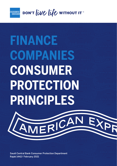

DON'T *live* life without IT

# **FINANCE COMPANIES CONSUMER PROTECTION PRINCIPLES**

Saudi Central Bank Consumer Protection Department Rajab 1442/ February 2021

MERICA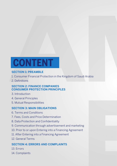## **CONTENT CONTENT**

#### **SECTION 1: PREAMBLE SECTION 1: PREAMBLE**

- 1. Consumer Financial Protection in the Kingdom of Saudi Arabia 1. Consumer Financial Protection in the Kingdom of Saudi Arabia
- 2. Definitions 2. Definitions

#### **SECTION 2: FINANCE COMPANIES SECTION 2: FINANCE COMPANIES CONSUMER PROTECTION PRINCIPLES CONSUMER PROTECTION PRINCIPLES**

- 3. Introduction 3. Introduction
- 4. General Principles 4. General Principles
- 5. Mutual Responsibilities 5. Mutual Responsibilities

#### **SECTION 3: MAIN OBLIGATIONS SECTION 3: MAIN OBLIGATIONS**

- 6. Terms and Conditions 6. Terms and Conditions
- 7. Fees, Costs and Price Determination 7. Fees, Costs and Price Determination
- 8. Data Protection and Confidentiality 8. Data Protection and Confidentiality
- 9. Communication through advertisement and marketing 9. Communication through advertisement and marketing
- 10. Prior to or upon Entering into a Financing Agreement 10. Prior to or upon Entering into a Financing Agreement
- 11. After Entering into a Financing Agreement 11. After Entering into a Financing Agreement
- 12. General Terms 12. General Terms

#### **SECTION 4: ERRORS AND COMPLAINTS SECTION 4: ERRORS AND COMPLAINTS**

- 13. Errors 13. Errors
- 14. Complaints 14. Complaints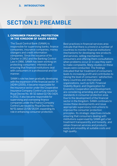## **SECTION 1: PREAMBLE SECTION 1: PREAMBLE**

#### 1. CONSUMER FINANCIAL PROTECTION 1. CONSUMER FINANCIAL PROTECTION IN THE KINGDOM OF SAUDI ARABIA IN THE KINGDOM OF SAUDI ARABIA

The Saudi Central Bank (SAMA) is **EXAMPLE is responsible for supervising banks, finance** banks, finance companies, insurance companies, insurance companies, money companies and credit information information companies. Since the companies. Since the issuance of its issuance of Charter in 1952 and the Banking Control Banking Control Law in 1966, SAMA has Law in 1966, SAMA has been working on protecting consumers' interests and ensuring that financial institutions deal  $\blacksquare$  with consumers in a professional and fair professional and fair manner.

SAMA's role has been gradually developing SAMA's role has been gradually developing with the expansion of the financial sector. In with the expansion of the financial sector. In 1424H (2005), it became responsible for 1424H (2005), it became responsible for the insurance sector under the Cooperative the insurance sector under the Cooperative Insurance Company Control Law issued by Insurance Company Control Law issued by Royal Decree No. M/32 dated 02/06/1424. Royal Decree No. M/32 dated 02/06/1424. In 2012, it also became responsible for In 2012, it also became responsible for supervising and overseeing finance supervising and overseeing finance companies under the Finance Company companies under the Finance Company Control Law issued by Royal Decree No. Control Law issued by Royal Decree No. M/51 dated 13/08/1433H, expanding its M/51 dated 13/08/1433H, expanding its role in enhancing consumer protection. role in enhancing consumer protection.

Best practices in financial services area Best practices in financial services area indicate that there is a trend in a number of indicate that there is a trend in a number of countries to monitor financial institutions' countries to monitor financial institutions' mechanisms for developing new products mechanisms for developing new products and services, selling mechanism to and services, selling mechanism to consumers and offering them consultations consumers and offering them consultations when problems occur or in case they want when problems occur or in case they want to make complaints. Many studies on these to make complaints. Many studies on these issues were conducted. The findings issues were conducted. The findings indicated that fair treatment of consumers indicated that fair treatment of consumers leads to increasing profit and contributes to leads to increasing profit and contributes to raising the level of consumers' satisfaction. raising the level of consumers' satisfaction. Many countries and international Many countries and international  $\mathbb{C}^{n+m}$  organizations, such as G20, Financial  $\mathcal{L}'$ <sub>ting</sub> Stability Board, and Organization for I<sup>tive</sup> Economic Cooperation and Development, are considering amending and setting new are considering amending and setting new <sup>+4+.</sup> standards in consumer protection area. Due to the development of the financial Due to the development of the financial sector in the Kingdom, SAMA continues to sector in the Kingdom, SAMA continues to  $\tau$  review these developments and issue appropriate supervisory instructions to appropriate supervisory instructions to improve the consumer protection improve the consumer protection principles. Its strategic objectives include principles. Its strategic objectives include ensuring that consumers dealing with ensuring that consumers dealing with institutions supervised by SAMA get a fair institutions supervised by SAMA get a fair treatment transparently and honestly, and treatment transparently and honestly, and obtain financial services and products obtain financial services and products easily and smoothly at suitable costs and easily and smoothly at suitable costs and high quality. high quality.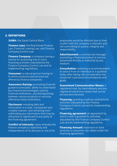#### 2. DEFINITIONS

**SAMA:** the Saudi Central Bank.

**Finance Laws:** the Real Estate Finance Law, Financial Leasing Law, and Finance Company Control Law.

**Finance Company:** a company having a license for practicing one or more financing activities stipulated by the Finance Company Control Law and its implementing regulations.

**Consumer:** a natural person having/or to whom products and services are offered by finance companies.

**Awareness Raising:** promoting financial guidance principles, ability to understand key financial terminologies used by financial institutions, and distinguishing between various products or services offered by these institutions.

**Disclosure:** revealing data and information in a clear, transparent and credible manner, and refraining from withholding any information that may be influential or significant to any party of the financing agreement.

**Conflict of interests:** cases whereby the finance company's objectivity and independence of its decision or one of its

employees would be affected due to their conflict with the company's interests and not committing to justice, integrity and responsibility.

**Advertisement:** a commercial message promoting a financial product or service advertised directly or indirectly by any medium.

**Consultation:** obtaining a recommendation or advice from an individual or a qualified entity after taking into consideration the consumer's personal circumstances and goals.

**Guaranteed Communication Means:** a registered mail, by-hand delivery and any registered electronic means that can be proved and retrieved.

**Financing:** granting credit by contracts for activities stipulated by the Finance Company Control Law and its implementing regulations.

**Financing agreement:** an agreement by which credit is granted for activities stipulated by the Finance Company Control Law and its implementing regulations.

**Financing Amount:** maximum or total amounts a consumer can obtain under the financing agreement.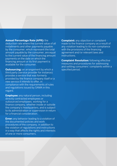#### **Annual Percentage Rate (APR):** the

deduction rate where the current value of all installments and other payments payable by the consumer, which represent the total amount payable by the consumer, are equal to the current value of the financing amount payments on the date on which the financing amount or its first payment is available for the consumer.

**Outsourcing:** an arrangement by which a third party (service provider for instance) provides a service that was formerly provided by the finance company itself or a new service it intends to offer, in compliance with the requirements of rules and regulations issued by SAMA in this regard.

**Employee:** any natural person, including directly contracted employees or outsourced employees, working for a finance company, whether inside or outside the company's headquarters, and is subject to its administration or supervision in return for a financial consideration.

**Error:** any behavior leading to a violation of the documented policies and work procedures of the company, in addition to the violation of regulations and instructions in a way that affects the rights and interests of one or more consumers.

**Complaint:** any objection or complaint made to the finance company as a result of any violation leading to its non-compliance with the provisions of the financing agreement and/or relevant laws and instructions.

**Complaint Resolution:** following effective measures and procedures for addressing and settling consumers' complaints within a specified period.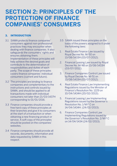## **SECTION 2: PRINCIPLES OF THE PROTECTION OF FINANCE COMPANIES' CONSUMERS**

#### 3. INTRODUCTION

- 3.1 SAMA protects finance companies' consumers against non-professional practices they may encounter when dealing with finance companies. It also safeguards the consumers' rights and ensures obtaining them. Implementation of these principles will help achieve the desired goals and contribute to the determination of responsibilities and duties of each party. The scope of these principles covers finance companies' individual consumers (current and future).
- 3.2 The principles are binding to finance companies and complementary to the instructions and controls issued by SAMA, and should be applied to all transactions made with individual consumers not later than 21/03/1437H corresponding to 01/01/2016.
- 3.3 Finance companies should provide a free hard copy of these principles at their branches and give it to consumers at the start of a transaction or when obtaining a new financing product or service. A soft copy of the principles should be posted on the companies' websites.
- 3.4 Finance companies should provide all records, documents, information and data requested by SAMA in this respect.
- 3.5 SAMA issued these principles on the basis of the powers assigned to it under the following laws:
- 1. Real Estate Finance Law issued by Royal Decree No. M/50 on 13/08/1433H (03/07/2012).
- 2. Financial Leasing Law issued by Royal Decree No. M/48 on 13/08/1433H (03/07/2012).
- 3. Finance Companies Control Law issued by Royal Decree No. M/51 on 13/08/1433H (03/07/2012).
- 4. Real Estate Finance Law Implementing Regulations issued by the Minister of Finance's Resolution No. 1229 on 10/04/1434H (20/02/2013).
- 5. Financial Leasing Law Implementing Regulations issued by the Governor's Resolution No. 1/M F C on 14/04/1434H. (24/02/2013).
- 6. Finance Companies Control Law Implementing Regulations issued by the Governor's Resolution No. 2/M F C on 14/04/1434 (24/02/2013).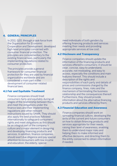#### 4. GENERAL PRINCIPLES

In 2011, G20, through a task force from the Organization for Economic Cooperation and Development, developed high-level principles concerned with consumer financial protection. The principles are complementary to the existing financial laws, particularly the implementing regulations related to consumer protection.

The principles provide a general framework for consumer financial protection for they are used by financial organizations worldwide and are considered a main part in the development of consumer-related financial laws.

#### 4.1 Fair and Equitable Treatment

Finance companies should treat consumers fairly and equitably during all stages of the relationship between them, and meet the obligations under the finance laws and their implementing regulations and other relevant instructions issued by SAMA. They should also apply the best practices followed internationally to safeguard consumers' rights and meet obligations as this should be an integral part of the company's culture and a major element in designing and developing financing products and services. In addition, finance companies should exert due diligence and pay special attention to consumers with low income and education, the elderly, special

need individuals of both genders by offering financing products and services meeting their needs and providing appropriate services at low cost.

#### 4.2 Disclosure and Transparency

Finance companies should update the information of the financing products and services offered to consumers; it should be clear, concise, easy to understand, accurate, not misleading, and easy to access, especially the conditions and main features thereof. This should include a description of the rights and responsibilities of each party and details of prices and commissions charged by the finance company, fines, risks and the mechanism of terminating the business relationship and the consequences thereof. Furthermore, they should provide information about the alternative financing products and services offered by them.

#### 4.3 Financial Education and Awareness

Finance companies should work on spreading financial culture, developing the skills of the current and future consumers on how to obtain financing products and services appropriate for their needs, raising their level of awareness, enabling them to understand major risks and helping them to make informed and effective decisions, and directing them to the entity concerned to obtain information if needed.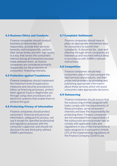#### 4.4 Business Ethics and Conducts

Finance companies should conduct business professionally and responsibly, provide their services honestly and transparently, perform their duties timely and with high quality in a way that serves the consumers' interest during all transaction process made between them, as finance companies are considered primarily responsible for the protection of consumers' financing interests.

#### 4.5 Protection against Fraudulence

Finance companies should implement the maximum level of supervisory measures and security procedures to follow up financing processes, protect them against fraud or illegitimate use through using clear procedures and electronic systems that enable them to achieve this goal.

#### 4.6 Protecting Privacy of Information

Finance companies should protect consumers' financial and personal information, safeguard its privacy, not use it except for specified professional and regulatory purposes with the consumer's approval, and should not disclose it to any third party without SAMA's permission.

#### 4.7 Complaint Settlement

Finance companies should have in place an appropriate mechanism easy for consumers to submit their complaints. It should be fair, clear and effective through which complaints are followed up and resolved without delay in accordance with SAMA's relevant instructions.

#### 4.8 Competition

Finance companies should help consumers search for and compare the best services and products, and their prices and providers by providing and publishing appropriate information about these services which will assist consumers take appropriate decisions.

#### 4.9 Outsourcing

Finance companies should ensure that the outsourcing entities assigned with tasks comply with the requirements of these principles, serve consumers' interests and bear the responsibility for protecting them. Finance companies are not exempted from responsibility if the outsourced service provider fails to comply with applicable rules and regulations in any of the transactions or tasks assigned to it pursuant to Article (37) of the implementing regulations of the Finance Company Control Law.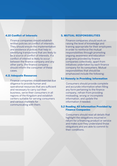#### 4.10 Conflict of Interests

Finance companies should establish written policies on conflict of interests. They should ensure the implementation and existence of polices that help in identifying transactions that are likely to be a source of conflict of interests. If a conflict of interest is likely to occur between the finance company and any other party, the finance company should inform the consumer of these cases.

#### 4.11 Adequate Resources

Finance companies should exercise due diligence to provide human and operational resources that are sufficient and necessary to carry out their business, serve their consumers in all regions of the Kingdom and establish centers suitable for serving consumers and various channels for communicating with them.

#### 5. MUTUAL RESPONSIBILITIES

Finance companies should work on raising the level of knowledge and training appropriate for their employees in order to reinforce the mutual responsibilities through promoting ongoing awareness and education programs provided by finance companies collectively, apart from initiatives undertaken by each finance company for its consumers. Mutual responsibilities that should be emphasized include the following:

#### 5.1 Honesty in Providing Information

Consumers should provide complete and accurate information when filling any form pertaining to the finance company, refrain from providing misleading, wrong or incomplete information, and update the information if needed.

#### 5.2 Reading All Information Provided by Finance Companies

Consumers should read all details that highlight the obligations incurred in return for a financing product or service and make sure they understand those obligations and are able to commit to their conditions.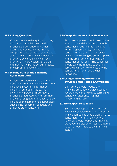#### 5.3 Asking Questions

Consumers should enquire about any item or condition laid down in the financing agreement or any other document provided by the finance company in case of lack of clarity, and ask the finance company's employees questions who should answer such questions in a professional and clear manner that helps the consumer takes the appropriate decision.

#### 5.4 Making Sure of the Financing Agreement Data

Consumers should ensure that the issued copy of the financing agreement includes all essential information including, but not limited to, the consumer's personal information, financing amount, APR, and summary of the financing agreement. It shall also include all the agreement's appendices, such as the repayment schedule and attached statements, etc.

#### 5.5 Complaint Submission Mechanism

Finance companies should provide the information and data necessary to the consumer illustrating the mechanism for making complaints, such as the contact numbers and addresses for making and following up on a complaint and the timeframe for notifying the consumer of the result. The consumer should take the initiative to use this service and know how to escalate the complaint to higher levels when necessary.

#### 5.6 Using Financing Products or Services under Terms & Conditions

Consumers should not use the financing product or service except in accordance with the related terms and conditions, after ensuring their understanding fully.

#### 5.7 Non-Exposure to Risks

Some financing products or services involve varying levels of risk. Therefore, finance companies should clarify that to consumers in writing. Consumers, however, should not buy any financing product or service when feeling that the risks are not suitable to their financial status.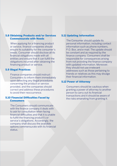#### 5.8 Obtaining Products and/or Services Commensurate with Needs

When applying for a financing product or service, finance companies should ensure its suitability for the consumer's needs. Consumer should disclose all its financial obligations made with all entities and ensure that it can fulfill the obligations incurred after obtaining the financing product or service.

#### 5.9 Illegal Practices

Finance companies should instruct Consumers to inform them immediately upon detecting any illegal procedures concerning the product or service provided, and the companies should correct and address these procedures to avoid their reoccurrence.

#### 5.10 Financial Difficulties Faced by Consumers

The Consumers should communicate with the finance company it deals with to ask for consultation when facing financial difficulties and that it is unable to fulfill the financing product's or service's obligations. Accordingly, the company shall discuss the available options commensurate with its financial status.

#### 5.11 Updating Information

The Consumer should update its personal information, including contact information such as phone numbers, P.O. Box, and e-mail. The update should be constant and as required by the finance company. Consumers shall be responsible for consequences arising from not providing the finance company with updated information. Moreover, they should not use irrelevant addresses such as those pertaining to friends or relatives as this may divulge their financial information.

#### 5.12 Power of Attorney

Consumers should be cautious when granting a power of attorney to another person to carry out its financial transactions and it should be aware of the risks emanating from granting it.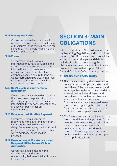#### 5.13 Incomplete Forms

Consumers should ensure that all required fields are filled and make sure of the figures in the forms provided for signature. They should not sign blank or incomplete forms.

#### 5.14 Forms

Consumers should review all information they have provided in the forms to ensure the correctness of information and nonexistence of mistakes in the data written. Finance companies should ensure that as well. Consumers should be aware that their signature on the forms means their approval of the form's content.

#### 5.15 Don't Disclose your Personal Information

Finance companies should emphasize the consumers' responsibility for not disclosing any personal or financial information to any party other than the finance company under any circumstances.

#### 5.16 Repayment of Monthly Payment

Consumers should commit to repayment of the outstanding monthly installments on due dates without delay. Delay in repaying the installment is deemed a violation of the agreement where additional costs shall be incurred.

#### 5.17 Financed Asset Maintenance and Responsibilities before Official **Authorities**

Consumers should maintain the financed asset and assume responsibility before official authorities for any misuse.

## **SECTION 3: MAIN OBLIGATIONS**

Without prejudice to Finance Laws and their Implementing Regulations and instructions issued by SAMA, finance companies will be subject to these principles and details included in this part concerning the obligations and laws related to the financing product or service that support "the General Principles" of consumer protection.

#### 6. TERMS AND CONDITIONS

- 6.1 The finance company shall provide the consumer with the updated terms and conditions of the financing product and service, either in the form of a booklet or a leaflet that includes all terms and conditions or through other channels available to finance companies. Consumers shall be encouraged to read them before beginning the relationship. These terms and conditions should be posted on the company's website.
- 6.2 The finance company shall include in the terms, conditions and application forms warning statements clearly stating the possible consequences that the consumer may be exposed to when using the financing product or service contrary to the conditions agreed upon in the application form.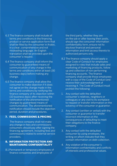- 6.3 The finance company shall include all terms and conditions in the financing product or service application form that shall be filled by the consumer in Arabic, in a clear, comprehensive and not misleading language. An English translation shall be provided upon the consumer's request.
- 6.4 The finance company shall inform the consumer by guaranteed means of communication of any change in the terms and conditions within at least (30 business days) before making any change.
- 6.5 The finance company shall allow the consumer to make objection if it does not agree on the change made in the terms and conditions by notifying the finance company of its objection within (10 business days) after receiving the notification of the aforementioned changes by guaranteed means of communication. The aforementioned notification should include the objection period, duration and procedures.

#### 7. FEES, COMMISSIONS & PRICING

The finance company shall not make any change in fees and commissions consumers should pay after signing the financing agreement, including fees and commissions related to external service providers.

#### 8. INFORMATION PROTECTION AND MAINTAINING CONFIDENTIALITY

8.1 Permanent or temporary employees of finance companies and employees of

 the third party, whether they are on-the-job or after leaving their posts, should sign the consumer information confidentiality form, ensure not to disclose financial and personal information and limit access thereto to authorized persons only.

- 8.2 The finance company should apply a clear Code of Conduct for employees assigned to roles that include sales and marketing of financing products, follow up and collection of non-performing financing accounts. The finance company shall provide those employees with a copy of the Code of Conduct and receive their acknowledgment of receiving it. The Code of Conduct must prohibit the following:
- 1. Any contact with the defaulted consumer's relatives, neighbors or colleagues or any visit to its workplace to request or transfer information on the solvency of the consumer or guarantor.
- 2. Any contact (written or verbal) with the consumer or guarantor to transfer incorrect information on the consequences of defaulting to meet their obligations to the finance company.
- 3. Any contact with the defaulted consumer by using envelopes, the writing on which indicate that they contain information on debt collection.
- 4. Any violation of the consumer's information confidentiality and conflicts of interests and professional values.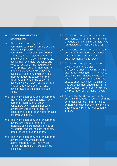#### 9. ADVERTISEMENT AND MARKETING

- 9.1 The finance company shall communicate with consumers by using at least two preferred means of communication for example, but not limited to, e-mail, registered mail, SMS and telephone. The company may also use its main channels (branches and website) as well as the media (audio, visual, printed, etc.) for marketing its financing products and services by using advertisement and marketing methods it deems suitable for the targeted segment of the public, in accordance with rules, regulations and instructions issued by SAMA and having regard to the other relevant rules.
- 9.2 The finance company shall ensure that the notice sent does not contain any personal information of other consumers when sending notices or advertisements to more than one consumer by e-mail or any other means of communication.
- 9.3 The finance company shall ensure that advertisements or promotional materials using promotional prices or introductory prices indicate the expiry date of these prices and offers.
- 9.4 The finance company shall ensure that advertisements which include abbreviations such as The Annual Percentage Rate (APR) are explicitly explained.
- 9.5 The finance company shall not send any marketing materials on financing products that contain unsuitable risks for individuals under the age of 18.
- 9.6 The finance company shall grant the consumer the right on a permanent basis, to refuse receiving these advertisements in easy ways.
- 9.7 The finance company shall ensure that the advertisement is clear, professional, not misleading and in a clear font including margins. Phrases should be in formal Arabic with the possibility of using other languages easy to understand such as English. The advertisement should not harm other companies' interests or distort the reputation of the financial sector.
- 9.8 SAMA has the right to require the company that does not comply with the conditions set forth in this article to withdraw the advertisement within one business day from the notification of SAMA.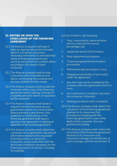#### 10. BEFORE OR UPON THE CONCLUSION OF THE FINANCING **AGREEMENT**

- 10.1 The finance company shall have in place an appropriate system through which it can obtain consumers' necessary information to estimate their needs of financing products and services and present the suitable offers according to the needs of each consumer.
- 10.2 The finance company shall provide consumers with consultations and advice on choosing the products and services suitable for their needs.
- 10.3 The finance company shall provide the consumer with a copy of the financing agreement before signing it and give it a suitable period to read it, if requested by the consumer.
- 10.4 The finance company shall obtain a request from the consumer by any guaranteed means of communication before granting a new finance. Any additions or modifications to the financing agreement shall require signing a new agreement or adding an appendix to the existing agreement.
- 10.5 The finance company shall, before the conclusion of an agreement, disclose all information related to the requested financing product or service to consumers and provide them with the terms and conditions necessary for the financing product or service, including, for example,

but not limited to, the following:

- 1. Fees, commissions, administrative service costs and the annual percentage rate.
- 2. repayment period of the finance.
- 3. Early repayment procedures.
- 4. Financing agreement termination procedures.
- 5. Withdrawal right procedures, if any.
- 6. Obligations and duties of each party under the agreement.
- 7. Any item that can be modified by the company after the agreement comes in force.
- 8. Any restriction or condition may harm the consumer's interests.
- 9. Dealing procedures with complaints.
- 10.6 The finance company shall, before the conclusion of the financing agreement, disclose to its consumers the procedures of dealing with the financing agreement in case of the death of the consumer who was granted the funding.
- 10.7 The finance company shall, before the conclusion of the financing agreement, disclose to its consumers any insurance coverage, the beneficiary of such coverage, and the mechanism of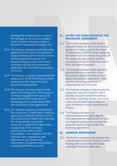dividing the compensation in case of the damage of the financed asset in order that the consumer makes a decision of obtaining funding or not.

- 10.8 The finance company shall inform the applicant of the reason for rejection by guaranteed communication means within a maximum period of (5 business days), in case the finance company rejected the consumer's application for any financing product or service.
- 10.9 The finance company should know the purpose for which financing has been obtained by the consumer and it should be documented.
- 10.10 The finance company shall provide each contracting party with a copy of the financing agreement and all its appendixes within a period not exceeding (10 business days) after the conclusion of the agreement.
- 10.11 The finance company shall examine the consumer's credit history after its approval to verify his solvency and it should document that in the financing file. It should also record the consumer's credit information after its approval at the company authorized to collect credit information, in accordance with the relevant rules, regulations and instructions and update this information throughout the duration of dealing with the consumer.

#### 11. AFTER THE CONCLUSION OF THE FINANCING AGREEMENT

- 11.1 The finance company shall issue a clearance letter for the consumer and update its credit record at the Saudi Credit Bureau (SIMAH) when repaying the full amount of funding and giving all the necessary documents within a maximum period of (7 business days) form the date of payment.
- 11.2 The finance company shall quarterly provide the consumer with a free transaction statement (electronic or paper) showing the payments made and the remaining payments, if requested by the consumer.
- 11.3 The finance company shall provide the consumer, upon its request, with a detailed account statement without any delay, including all fees, term cost. costs and all additional charges, in case of default or early repayment of finance.
- 11.4 The finance company, its representatives and other agents entrusted with its rights shall not take any illegal procedures to recover the amounts owed to them under the financing agreement.

#### 12. GENERAL PROVISIONS

12.1 The finance company should take into consideration humane situations when dealing with consumers who have contingent financial difficulties.